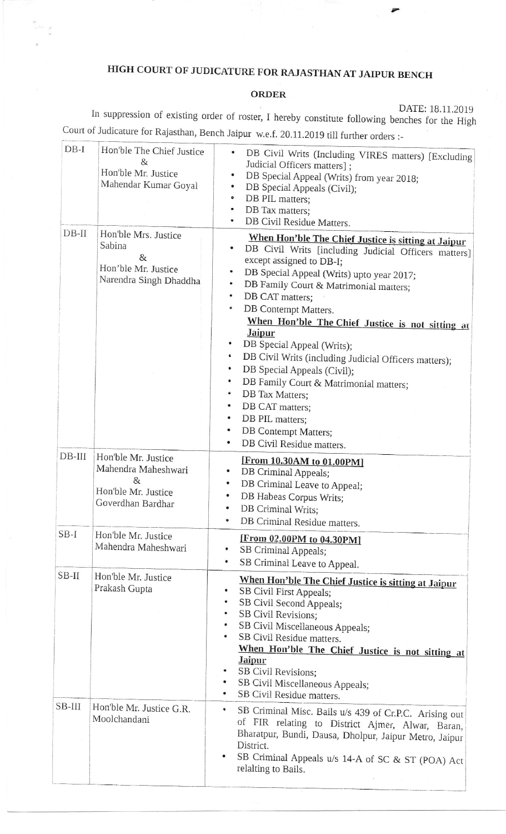## HIGH COURT OF JUDICATURE FOR RAJASTHAN AT JAIPUR BENCH

## ORDER

DATE: 18.11.2019<br>In suppression of existing order of roster, I hereby constitute following benches for the High Court of Judicature for Rajasthan, Bench Jaipur w.e.f. 20.11.2019 till further orders :-

| $DB-I$   | Hon'ble The Chief Justice<br>&<br>Hon'ble Mr. Justice<br>Mahendar Kumar Goyal               | DB Civil Writs (Including VIRES matters) [Excluding<br>Judicial Officers matters];<br>DB Special Appeal (Writs) from year 2018;<br>$\bullet$<br>DB Special Appeals (Civil);<br>۰<br>$\bullet$<br>DB PIL matters;<br>DB Tax matters;<br>$\bullet$<br>DB Civil Residue Matters.                                                                                                                                                                                                                                                                                                                                                                                                                |
|----------|---------------------------------------------------------------------------------------------|----------------------------------------------------------------------------------------------------------------------------------------------------------------------------------------------------------------------------------------------------------------------------------------------------------------------------------------------------------------------------------------------------------------------------------------------------------------------------------------------------------------------------------------------------------------------------------------------------------------------------------------------------------------------------------------------|
| $DB-II$  | Hon'ble Mrs. Justice<br>Sabina<br>8x<br>Hon'ble Mr. Justice<br>Narendra Singh Dhaddha       | When Hon'ble The Chief Justice is sitting at Jaipur<br>$\bullet$<br>DB Civil Writs [including Judicial Officers matters]<br>except assigned to DB-I;<br>DB Special Appeal (Writs) upto year 2017;<br>$\bullet$<br>DB Family Court & Matrimonial matters;<br>٠<br>DB CAT matters;<br>٠<br>DB Contempt Matters.<br>$\bullet$<br>When Hon'ble The Chief Justice is not sitting at<br><b>Jaipur</b><br>DB Special Appeal (Writs);<br>6<br>DB Civil Writs (including Judicial Officers matters);<br>DB Special Appeals (Civil);<br>۰<br>DB Family Court & Matrimonial matters;<br>DB Tax Matters;<br>٠<br>DB CAT matters;<br>DB PIL matters;<br>DB Contempt Matters;<br>DB Civil Residue matters. |
| $DB-III$ | Hon'ble Mr. Justice<br>Mahendra Maheshwari<br>&<br>Hon'ble Mr. Justice<br>Goverdhan Bardhar | [From 10.30AM to 01.00PM]<br>DB Criminal Appeals;<br>٠<br>DB Criminal Leave to Appeal;<br>٠<br>DB Habeas Corpus Writs;<br>DB Criminal Writs;<br>DB Criminal Residue matters.<br>$\bullet$                                                                                                                                                                                                                                                                                                                                                                                                                                                                                                    |
| $SB-I$   | Hon'ble Mr. Justice<br>Mahendra Maheshwari                                                  | [From 02.00PM to 04.30PM]<br>SB Criminal Appeals;<br>٠<br>SB Criminal Leave to Appeal.<br>$\bullet$                                                                                                                                                                                                                                                                                                                                                                                                                                                                                                                                                                                          |
| $SB-II$  | Hon'ble Mr. Justice<br>Prakash Gupta                                                        | When Hon'ble The Chief Justice is sitting at Jaipur<br>SB Civil First Appeals;<br>٠<br>SB Civil Second Appeals;<br>$\bullet$<br>SB Civil Revisions;<br>SB Civil Miscellaneous Appeals;<br>SB Civil Residue matters.<br>When Hon'ble The Chief Justice is not sitting at<br><b>Jaipur</b><br>SB Civil Revisions;<br>SB Civil Miscellaneous Appeals;<br>SB Civil Residue matters.                                                                                                                                                                                                                                                                                                              |
| SB-III   | Hon'ble Mr. Justice G.R.<br>Moolchandani                                                    | \$<br>SB Criminal Misc. Bails u/s 439 of Cr.P.C. Arising out<br>of FIR relating to District Ajmer, Alwar, Baran,<br>Bharatpur, Bundi, Dausa, Dholpur, Jaipur Metro, Jaipur<br>District.<br>SB Criminal Appeals u/s 14-A of SC & ST (POA) Act<br>relalting to Bails.                                                                                                                                                                                                                                                                                                                                                                                                                          |